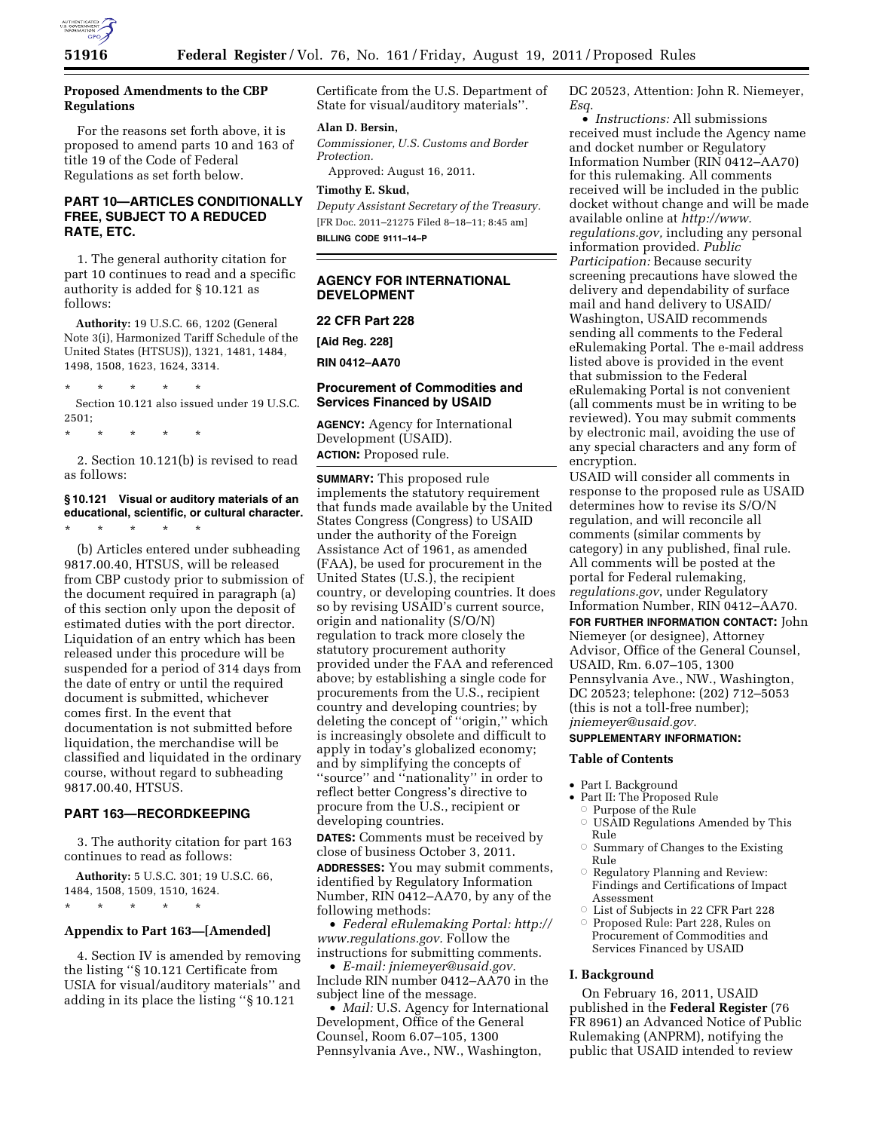

# **Proposed Amendments to the CBP Regulations**

For the reasons set forth above, it is proposed to amend parts 10 and 163 of title 19 of the Code of Federal Regulations as set forth below.

# **PART 10—ARTICLES CONDITIONALLY FREE, SUBJECT TO A REDUCED RATE, ETC.**

1. The general authority citation for part 10 continues to read and a specific authority is added for § 10.121 as follows:

**Authority:** 19 U.S.C. 66, 1202 (General Note 3(i), Harmonized Tariff Schedule of the United States (HTSUS)), 1321, 1481, 1484, 1498, 1508, 1623, 1624, 3314.

\* \* \* \* \*

Section 10.121 also issued under 19 U.S.C. 2501;

\* \* \* \* \*

2. Section 10.121(b) is revised to read as follows:

# **§ 10.121 Visual or auditory materials of an educational, scientific, or cultural character.**

\* \* \* \* \*

(b) Articles entered under subheading 9817.00.40, HTSUS, will be released from CBP custody prior to submission of the document required in paragraph (a) of this section only upon the deposit of estimated duties with the port director. Liquidation of an entry which has been released under this procedure will be suspended for a period of 314 days from the date of entry or until the required document is submitted, whichever comes first. In the event that documentation is not submitted before liquidation, the merchandise will be classified and liquidated in the ordinary course, without regard to subheading 9817.00.40, HTSUS.

# **PART 163—RECORDKEEPING**

3. The authority citation for part 163 continues to read as follows:

**Authority:** 5 U.S.C. 301; 19 U.S.C. 66, 1484, 1508, 1509, 1510, 1624.

# \* \* \* \* \*

# **Appendix to Part 163—[Amended]**

4. Section IV is amended by removing the listing ''§ 10.121 Certificate from USIA for visual/auditory materials'' and adding in its place the listing ''§ 10.121

Certificate from the U.S. Department of State for visual/auditory materials''.

#### **Alan D. Bersin,**

*Commissioner, U.S. Customs and Border Protection.* 

Approved: August 16, 2011.

# **Timothy E. Skud,**

*Deputy Assistant Secretary of the Treasury.*  [FR Doc. 2011–21275 Filed 8–18–11; 8:45 am] **BILLING CODE 9111–14–P** 

# **AGENCY FOR INTERNATIONAL DEVELOPMENT**

# **22 CFR Part 228**

**[Aid Reg. 228]** 

**RIN 0412–AA70** 

# **Procurement of Commodities and Services Financed by USAID**

**AGENCY:** Agency for International Development (USAID). **ACTION:** Proposed rule.

**SUMMARY:** This proposed rule implements the statutory requirement that funds made available by the United States Congress (Congress) to USAID under the authority of the Foreign Assistance Act of 1961, as amended (FAA), be used for procurement in the United States (U.S.), the recipient country, or developing countries. It does so by revising USAID's current source, origin and nationality (S/O/N) regulation to track more closely the statutory procurement authority provided under the FAA and referenced above; by establishing a single code for procurements from the U.S., recipient country and developing countries; by deleting the concept of ''origin,'' which is increasingly obsolete and difficult to apply in today's globalized economy; and by simplifying the concepts of ''source'' and ''nationality'' in order to reflect better Congress's directive to procure from the U.S., recipient or developing countries.

**DATES:** Comments must be received by close of business October 3, 2011.

**ADDRESSES:** You may submit comments, identified by Regulatory Information Number, RIN 0412–AA70, by any of the following methods:

• *Federal eRulemaking Portal: [http://](http://www.regulations.gov)  [www.regulations.gov.](http://www.regulations.gov)* Follow the instructions for submitting comments.

• *E-mail: [jniemeyer@usaid.gov.](mailto:jniemeyer@usaid.gov)*  Include RIN number 0412–AA70 in the subject line of the message.

• *Mail:* U.S. Agency for International Development, Office of the General Counsel, Room 6.07–105, 1300 Pennsylvania Ave., NW., Washington,

DC 20523, Attention: John R. Niemeyer, *Esq*.

• *Instructions:* All submissions received must include the Agency name and docket number or Regulatory Information Number (RIN 0412–AA70) for this rulemaking. All comments received will be included in the public docket without change and will be made available online at *[http://www.](http://www.regulations.gov) [regulations.gov,](http://www.regulations.gov)* including any personal information provided. *Public Participation:* Because security screening precautions have slowed the delivery and dependability of surface mail and hand delivery to USAID/ Washington, USAID recommends sending all comments to the Federal eRulemaking Portal. The e-mail address listed above is provided in the event that submission to the Federal eRulemaking Portal is not convenient (all comments must be in writing to be reviewed). You may submit comments by electronic mail, avoiding the use of any special characters and any form of encryption.

USAID will consider all comments in response to the proposed rule as USAID determines how to revise its S/O/N regulation, and will reconcile all comments (similar comments by category) in any published, final rule. All comments will be posted at the portal for Federal rulemaking, *regulations.gov*, under Regulatory Information Number, RIN 0412–AA70.

**FOR FURTHER INFORMATION CONTACT:** John Niemeyer (or designee), Attorney Advisor, Office of the General Counsel, USAID, Rm. 6.07–105, 1300 Pennsylvania Ave., NW., Washington, DC 20523; telephone: (202) 712–5053 (this is not a toll-free number); *[jniemeyer@usaid.gov.](mailto:jniemeyer@usaid.gov)* 

### **SUPPLEMENTARY INFORMATION:**

# **Table of Contents**

- Part I. Background
- Part II: The Proposed Rule
	- Æ Purpose of the Rule
	- Æ USAID Regulations Amended by This Rule
	- Æ Summary of Changes to the Existing Rule
	- Æ Regulatory Planning and Review: Findings and Certifications of Impact Assessment
	- Æ List of Subjects in 22 CFR Part 228
- $\circ$  Proposed Rule: Part 228, Rules on Procurement of Commodities and Services Financed by USAID

# **I. Background**

On February 16, 2011, USAID published in the **Federal Register** (76 FR 8961) an Advanced Notice of Public Rulemaking (ANPRM), notifying the public that USAID intended to review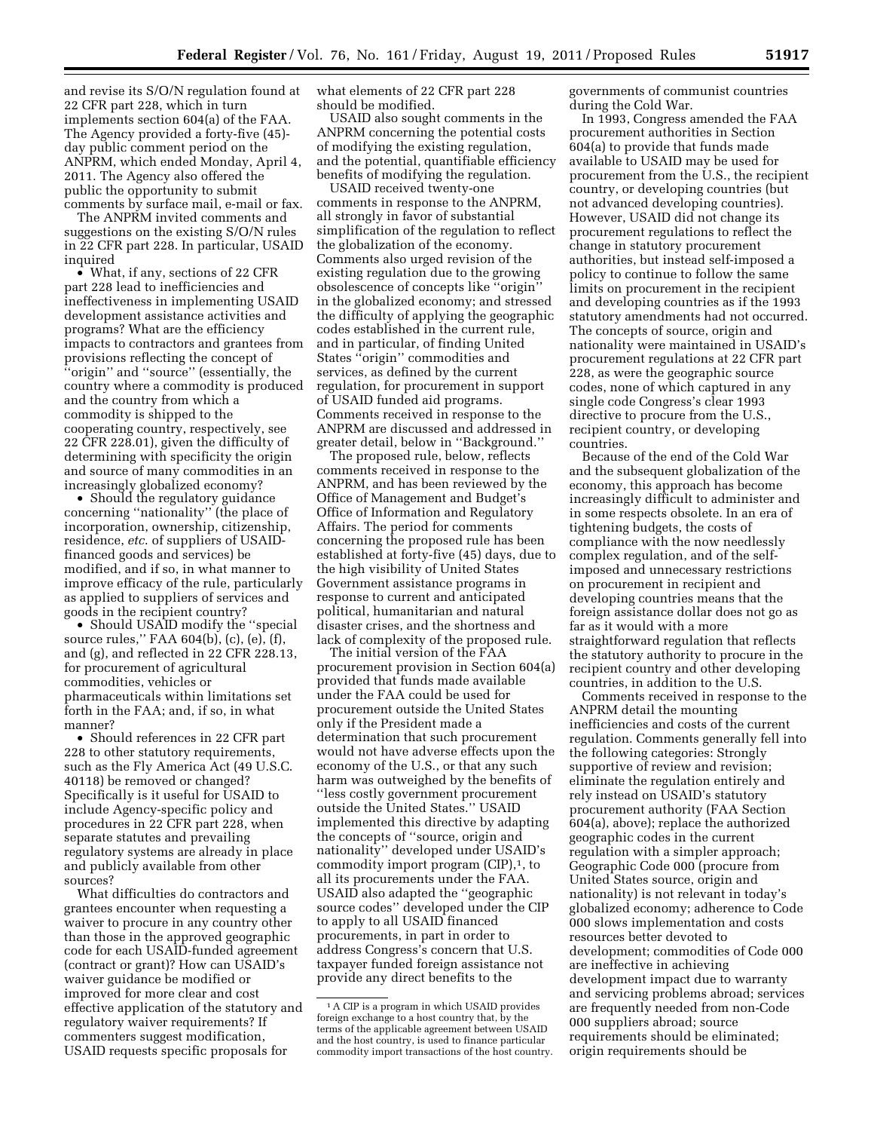and revise its S/O/N regulation found at 22 CFR part 228, which in turn implements section 604(a) of the FAA. The Agency provided a forty-five (45) day public comment period on the ANPRM, which ended Monday, April 4, 2011. The Agency also offered the public the opportunity to submit

comments by surface mail, e-mail or fax. The ANPRM invited comments and suggestions on the existing S/O/N rules in 22 CFR part 228. In particular, USAID inquired

• What, if any, sections of 22 CFR part 228 lead to inefficiencies and ineffectiveness in implementing USAID development assistance activities and programs? What are the efficiency impacts to contractors and grantees from provisions reflecting the concept of ''origin'' and ''source'' (essentially, the country where a commodity is produced and the country from which a commodity is shipped to the cooperating country, respectively, see 22 CFR 228.01), given the difficulty of determining with specificity the origin and source of many commodities in an increasingly globalized economy?

• Should the regulatory guidance concerning ''nationality'' (the place of incorporation, ownership, citizenship, residence, *etc*. of suppliers of USAIDfinanced goods and services) be modified, and if so, in what manner to improve efficacy of the rule, particularly as applied to suppliers of services and goods in the recipient country?

• Should USAID modify the ''special source rules,'' FAA 604(b), (c), (e), (f), and (g), and reflected in 22 CFR 228.13, for procurement of agricultural commodities, vehicles or pharmaceuticals within limitations set forth in the FAA; and, if so, in what manner?

• Should references in 22 CFR part 228 to other statutory requirements, such as the Fly America Act (49 U.S.C. 40118) be removed or changed? Specifically is it useful for USAID to include Agency-specific policy and procedures in 22 CFR part 228, when separate statutes and prevailing regulatory systems are already in place and publicly available from other sources?

What difficulties do contractors and grantees encounter when requesting a waiver to procure in any country other than those in the approved geographic code for each USAID-funded agreement (contract or grant)? How can USAID's waiver guidance be modified or improved for more clear and cost effective application of the statutory and regulatory waiver requirements? If commenters suggest modification, USAID requests specific proposals for

what elements of 22 CFR part 228 should be modified.

USAID also sought comments in the ANPRM concerning the potential costs of modifying the existing regulation, and the potential, quantifiable efficiency benefits of modifying the regulation.

USAID received twenty-one comments in response to the ANPRM, all strongly in favor of substantial simplification of the regulation to reflect the globalization of the economy. Comments also urged revision of the existing regulation due to the growing obsolescence of concepts like ''origin'' in the globalized economy; and stressed the difficulty of applying the geographic codes established in the current rule, and in particular, of finding United States ''origin'' commodities and services, as defined by the current regulation, for procurement in support of USAID funded aid programs. Comments received in response to the ANPRM are discussed and addressed in greater detail, below in ''Background.''

The proposed rule, below, reflects comments received in response to the ANPRM, and has been reviewed by the Office of Management and Budget's Office of Information and Regulatory Affairs. The period for comments concerning the proposed rule has been established at forty-five (45) days, due to the high visibility of United States Government assistance programs in response to current and anticipated political, humanitarian and natural disaster crises, and the shortness and lack of complexity of the proposed rule.

The initial version of the FAA procurement provision in Section 604(a) provided that funds made available under the FAA could be used for procurement outside the United States only if the President made a determination that such procurement would not have adverse effects upon the economy of the U.S., or that any such harm was outweighed by the benefits of ''less costly government procurement outside the United States.'' USAID implemented this directive by adapting the concepts of ''source, origin and nationality'' developed under USAID's commodity import program  $(CIP)$ ,<sup>1</sup>, to all its procurements under the FAA. USAID also adapted the ''geographic source codes'' developed under the CIP to apply to all USAID financed procurements, in part in order to address Congress's concern that U.S. taxpayer funded foreign assistance not provide any direct benefits to the

governments of communist countries during the Cold War.

In 1993, Congress amended the FAA procurement authorities in Section 604(a) to provide that funds made available to USAID may be used for procurement from the U.S., the recipient country, or developing countries (but not advanced developing countries). However, USAID did not change its procurement regulations to reflect the change in statutory procurement authorities, but instead self-imposed a policy to continue to follow the same limits on procurement in the recipient and developing countries as if the 1993 statutory amendments had not occurred. The concepts of source, origin and nationality were maintained in USAID's procurement regulations at 22 CFR part 228, as were the geographic source codes, none of which captured in any single code Congress's clear 1993 directive to procure from the U.S., recipient country, or developing countries.

Because of the end of the Cold War and the subsequent globalization of the economy, this approach has become increasingly difficult to administer and in some respects obsolete. In an era of tightening budgets, the costs of compliance with the now needlessly complex regulation, and of the selfimposed and unnecessary restrictions on procurement in recipient and developing countries means that the foreign assistance dollar does not go as far as it would with a more straightforward regulation that reflects the statutory authority to procure in the recipient country and other developing countries, in addition to the U.S.

Comments received in response to the ANPRM detail the mounting inefficiencies and costs of the current regulation. Comments generally fell into the following categories: Strongly supportive of review and revision; eliminate the regulation entirely and rely instead on USAID's statutory procurement authority (FAA Section 604(a), above); replace the authorized geographic codes in the current regulation with a simpler approach; Geographic Code 000 (procure from United States source, origin and nationality) is not relevant in today's globalized economy; adherence to Code 000 slows implementation and costs resources better devoted to development; commodities of Code 000 are ineffective in achieving development impact due to warranty and servicing problems abroad; services are frequently needed from non-Code 000 suppliers abroad; source requirements should be eliminated; origin requirements should be

<sup>&</sup>lt;sup>1</sup> A CIP is a program in which USAID provides foreign exchange to a host country that, by the terms of the applicable agreement between USAID and the host country, is used to finance particular commodity import transactions of the host country.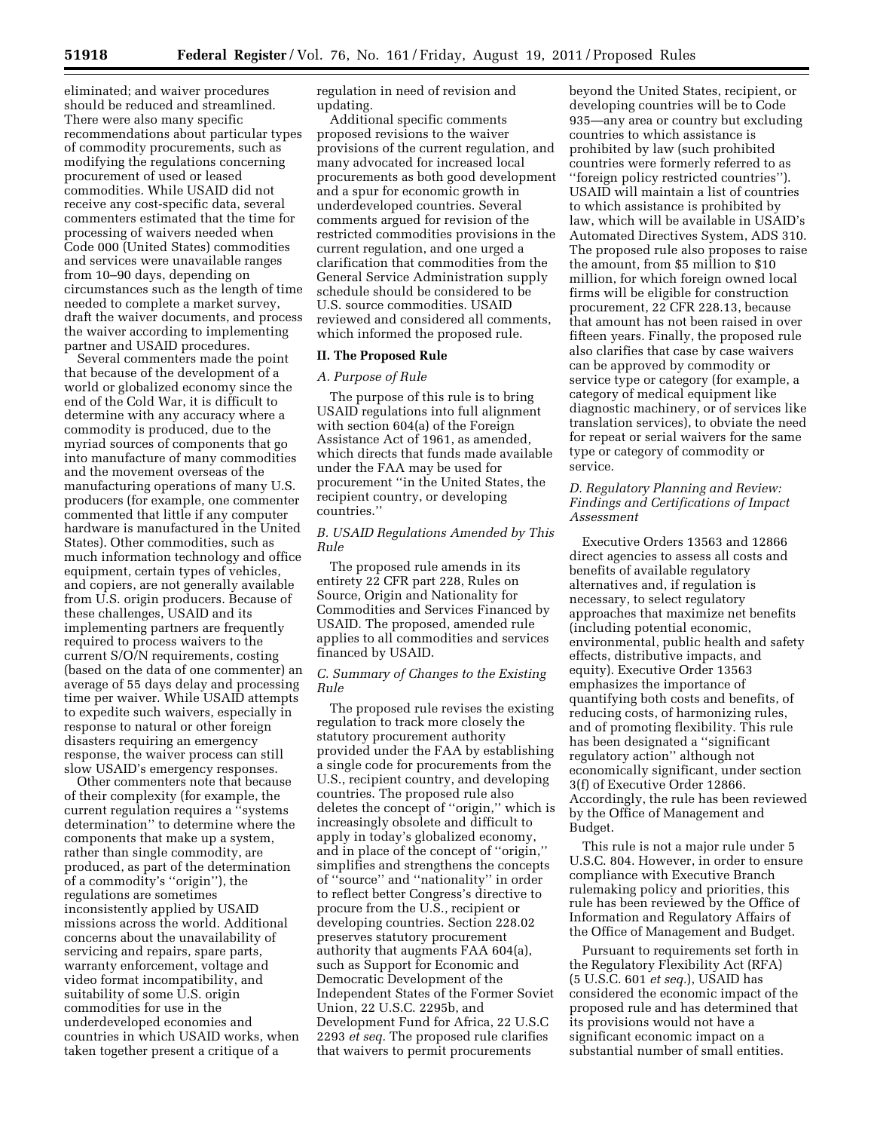eliminated; and waiver procedures should be reduced and streamlined. There were also many specific recommendations about particular types of commodity procurements, such as modifying the regulations concerning procurement of used or leased commodities. While USAID did not receive any cost-specific data, several commenters estimated that the time for processing of waivers needed when Code 000 (United States) commodities and services were unavailable ranges from 10–90 days, depending on circumstances such as the length of time needed to complete a market survey, draft the waiver documents, and process the waiver according to implementing partner and USAID procedures.

Several commenters made the point that because of the development of a world or globalized economy since the end of the Cold War, it is difficult to determine with any accuracy where a commodity is produced, due to the myriad sources of components that go into manufacture of many commodities and the movement overseas of the manufacturing operations of many U.S. producers (for example, one commenter commented that little if any computer hardware is manufactured in the United States). Other commodities, such as much information technology and office equipment, certain types of vehicles, and copiers, are not generally available from U.S. origin producers. Because of these challenges, USAID and its implementing partners are frequently required to process waivers to the current S/O/N requirements, costing (based on the data of one commenter) an average of 55 days delay and processing time per waiver. While USAID attempts to expedite such waivers, especially in response to natural or other foreign disasters requiring an emergency response, the waiver process can still slow USAID's emergency responses.

Other commenters note that because of their complexity (for example, the current regulation requires a ''systems determination'' to determine where the components that make up a system, rather than single commodity, are produced, as part of the determination of a commodity's ''origin''), the regulations are sometimes inconsistently applied by USAID missions across the world. Additional concerns about the unavailability of servicing and repairs, spare parts, warranty enforcement, voltage and video format incompatibility, and suitability of some U.S. origin commodities for use in the underdeveloped economies and countries in which USAID works, when taken together present a critique of a

regulation in need of revision and updating.

Additional specific comments proposed revisions to the waiver provisions of the current regulation, and many advocated for increased local procurements as both good development and a spur for economic growth in underdeveloped countries. Several comments argued for revision of the restricted commodities provisions in the current regulation, and one urged a clarification that commodities from the General Service Administration supply schedule should be considered to be U.S. source commodities. USAID reviewed and considered all comments, which informed the proposed rule.

#### **II. The Proposed Rule**

#### *A. Purpose of Rule*

The purpose of this rule is to bring USAID regulations into full alignment with section 604(a) of the Foreign Assistance Act of 1961, as amended, which directs that funds made available under the FAA may be used for procurement ''in the United States, the recipient country, or developing countries.''

# *B. USAID Regulations Amended by This Rule*

The proposed rule amends in its entirety 22 CFR part 228, Rules on Source, Origin and Nationality for Commodities and Services Financed by USAID. The proposed, amended rule applies to all commodities and services financed by USAID.

# *C. Summary of Changes to the Existing Rule*

The proposed rule revises the existing regulation to track more closely the statutory procurement authority provided under the FAA by establishing a single code for procurements from the U.S., recipient country, and developing countries. The proposed rule also deletes the concept of ''origin,'' which is increasingly obsolete and difficult to apply in today's globalized economy, and in place of the concept of ''origin,'' simplifies and strengthens the concepts of ''source'' and ''nationality'' in order to reflect better Congress's directive to procure from the U.S., recipient or developing countries. Section 228.02 preserves statutory procurement authority that augments FAA 604(a), such as Support for Economic and Democratic Development of the Independent States of the Former Soviet Union, 22 U.S.C. 2295b, and Development Fund for Africa, 22 U.S.C 2293 *et seq.* The proposed rule clarifies that waivers to permit procurements

beyond the United States, recipient, or developing countries will be to Code 935—any area or country but excluding countries to which assistance is prohibited by law (such prohibited countries were formerly referred to as ''foreign policy restricted countries''). USAID will maintain a list of countries to which assistance is prohibited by law, which will be available in USAID's Automated Directives System, ADS 310. The proposed rule also proposes to raise the amount, from \$5 million to \$10 million, for which foreign owned local firms will be eligible for construction procurement, 22 CFR 228.13, because that amount has not been raised in over fifteen years. Finally, the proposed rule also clarifies that case by case waivers can be approved by commodity or service type or category (for example, a category of medical equipment like diagnostic machinery, or of services like translation services), to obviate the need for repeat or serial waivers for the same type or category of commodity or service.

# *D. Regulatory Planning and Review: Findings and Certifications of Impact Assessment*

Executive Orders 13563 and 12866 direct agencies to assess all costs and benefits of available regulatory alternatives and, if regulation is necessary, to select regulatory approaches that maximize net benefits (including potential economic, environmental, public health and safety effects, distributive impacts, and equity). Executive Order 13563 emphasizes the importance of quantifying both costs and benefits, of reducing costs, of harmonizing rules, and of promoting flexibility. This rule has been designated a ''significant regulatory action'' although not economically significant, under section 3(f) of Executive Order 12866. Accordingly, the rule has been reviewed by the Office of Management and Budget.

This rule is not a major rule under 5 U.S.C. 804. However, in order to ensure compliance with Executive Branch rulemaking policy and priorities, this rule has been reviewed by the Office of Information and Regulatory Affairs of the Office of Management and Budget.

Pursuant to requirements set forth in the Regulatory Flexibility Act (RFA) (5 U.S.C. 601 *et seq.*), USAID has considered the economic impact of the proposed rule and has determined that its provisions would not have a significant economic impact on a substantial number of small entities.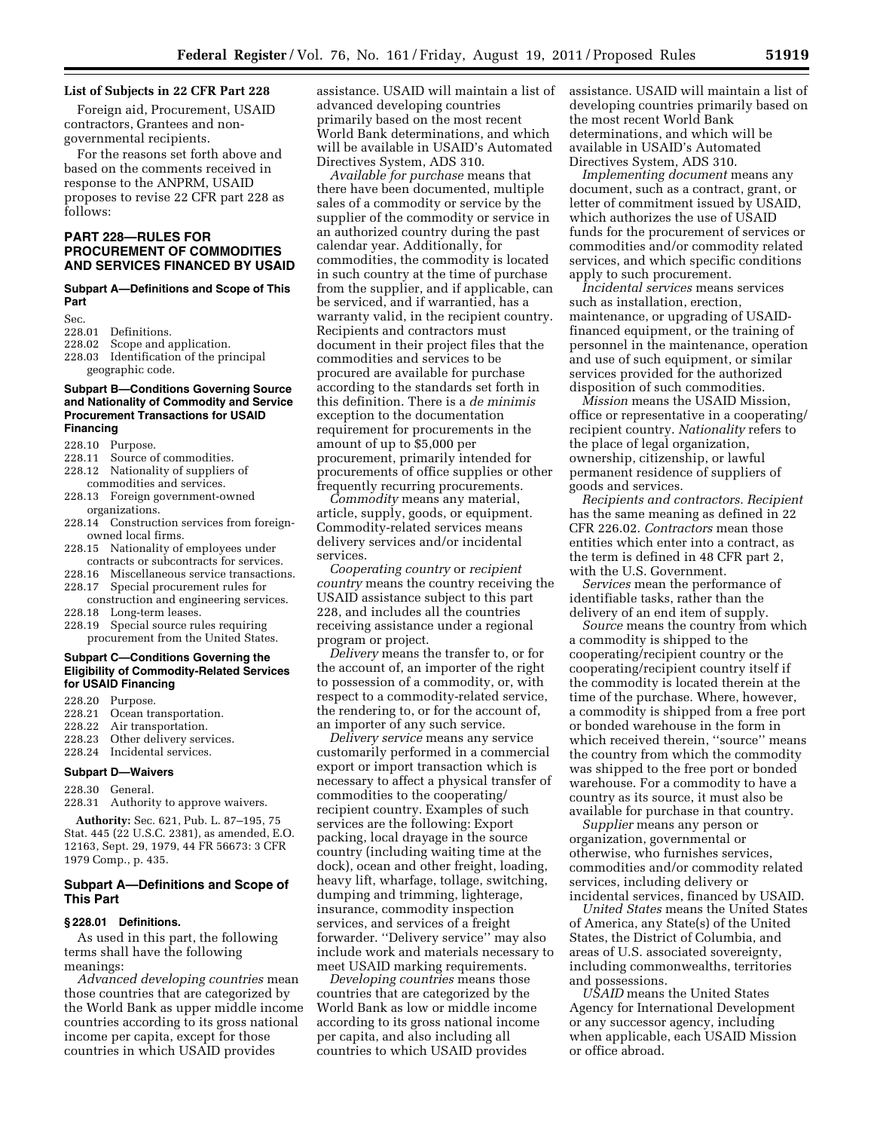# **List of Subjects in 22 CFR Part 228**

Foreign aid, Procurement, USAID contractors, Grantees and nongovernmental recipients.

For the reasons set forth above and based on the comments received in response to the ANPRM, USAID proposes to revise 22 CFR part 228 as follows:

# **PART 228—RULES FOR PROCUREMENT OF COMMODITIES AND SERVICES FINANCED BY USAID**

#### **Subpart A—Definitions and Scope of This Part**

- Sec.<br>228.01 228.01 Definitions.<br>228.02 Scope and a
- Scope and application.
- 228.03 Identification of the principal geographic code.

# **Subpart B—Conditions Governing Source and Nationality of Commodity and Service Procurement Transactions for USAID Financing**

- 228.10 Purpose.<br>228.11 Source of Source of commodities.
- 228.12 Nationality of suppliers of
- commodities and services. 228.13 Foreign government-owned
- organizations.
- 228.14 Construction services from foreignowned local firms.
- 228.15 Nationality of employees under
- contracts or subcontracts for services. 228.16 Miscellaneous service transactions.
- 228.17 Special procurement rules for
- construction and engineering services.
- 228.18 Long-term leases.<br>228.19 Special source ru
- Special source rules requiring procurement from the United States.

#### **Subpart C—Conditions Governing the Eligibility of Commodity-Related Services for USAID Financing**

228.20 Purpose.

- 228.21 Ocean transportation.
- 228.22 Air transportation.
- 228.23 Other delivery services. 228.24 Incidental services.

# **Subpart D—Waivers**

228.30 General.

228.31 Authority to approve waivers.

**Authority:** Sec. 621, Pub. L. 87–195, 75 Stat. 445 (22 U.S.C. 2381), as amended, E.O. 12163, Sept. 29, 1979, 44 FR 56673: 3 CFR 1979 Comp., p. 435.

### **Subpart A—Definitions and Scope of This Part**

#### **§ 228.01 Definitions.**

As used in this part, the following terms shall have the following meanings:

*Advanced developing countries* mean those countries that are categorized by the World Bank as upper middle income countries according to its gross national income per capita, except for those countries in which USAID provides

assistance. USAID will maintain a list of advanced developing countries primarily based on the most recent World Bank determinations, and which will be available in USAID's Automated Directives System, ADS 310.

*Available for purchase* means that there have been documented, multiple sales of a commodity or service by the supplier of the commodity or service in an authorized country during the past calendar year. Additionally, for commodities, the commodity is located in such country at the time of purchase from the supplier, and if applicable, can be serviced, and if warrantied, has a warranty valid, in the recipient country. Recipients and contractors must document in their project files that the commodities and services to be procured are available for purchase according to the standards set forth in this definition. There is a *de minimis*  exception to the documentation requirement for procurements in the amount of up to \$5,000 per procurement, primarily intended for procurements of office supplies or other frequently recurring procurements.

*Commodity* means any material, article, supply, goods, or equipment. Commodity-related services means delivery services and/or incidental services.

*Cooperating country* or *recipient country* means the country receiving the USAID assistance subject to this part 228, and includes all the countries receiving assistance under a regional program or project.

*Delivery* means the transfer to, or for the account of, an importer of the right to possession of a commodity, or, with respect to a commodity-related service, the rendering to, or for the account of, an importer of any such service.

*Delivery service* means any service customarily performed in a commercial export or import transaction which is necessary to affect a physical transfer of commodities to the cooperating/ recipient country. Examples of such services are the following: Export packing, local drayage in the source country (including waiting time at the dock), ocean and other freight, loading, heavy lift, wharfage, tollage, switching, dumping and trimming, lighterage, insurance, commodity inspection services, and services of a freight forwarder. ''Delivery service'' may also include work and materials necessary to meet USAID marking requirements.

*Developing countries* means those countries that are categorized by the World Bank as low or middle income according to its gross national income per capita, and also including all countries to which USAID provides

assistance. USAID will maintain a list of developing countries primarily based on the most recent World Bank determinations, and which will be available in USAID's Automated Directives System, ADS 310.

*Implementing document* means any document, such as a contract, grant, or letter of commitment issued by USAID, which authorizes the use of USAID funds for the procurement of services or commodities and/or commodity related services, and which specific conditions apply to such procurement.

*Incidental services* means services such as installation, erection, maintenance, or upgrading of USAIDfinanced equipment, or the training of personnel in the maintenance, operation and use of such equipment, or similar services provided for the authorized disposition of such commodities.

*Mission* means the USAID Mission, office or representative in a cooperating/ recipient country. *Nationality* refers to the place of legal organization, ownership, citizenship, or lawful permanent residence of suppliers of goods and services.

*Recipients and contractors. Recipient*  has the same meaning as defined in 22 CFR 226.02. *Contractors* mean those entities which enter into a contract, as the term is defined in 48 CFR part 2, with the U.S. Government.

*Services* mean the performance of identifiable tasks, rather than the delivery of an end item of supply.

*Source* means the country from which a commodity is shipped to the cooperating/recipient country or the cooperating/recipient country itself if the commodity is located therein at the time of the purchase. Where, however, a commodity is shipped from a free port or bonded warehouse in the form in which received therein, ''source'' means the country from which the commodity was shipped to the free port or bonded warehouse. For a commodity to have a country as its source, it must also be available for purchase in that country.

*Supplier* means any person or organization, governmental or otherwise, who furnishes services, commodities and/or commodity related services, including delivery or incidental services, financed by USAID.

*United States* means the United States of America, any State(s) of the United States, the District of Columbia, and areas of U.S. associated sovereignty, including commonwealths, territories and possessions.

*USAID* means the United States Agency for International Development or any successor agency, including when applicable, each USAID Mission or office abroad.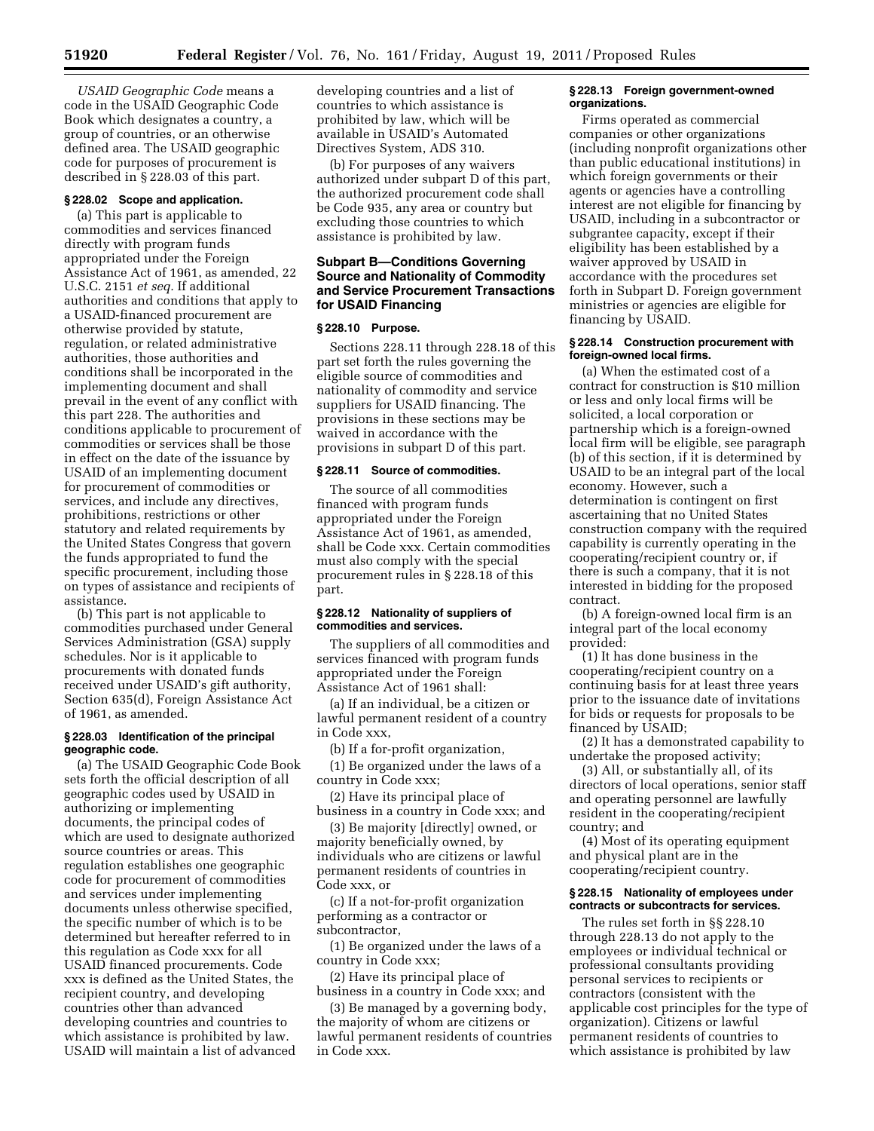*USAID Geographic Code* means a code in the USAID Geographic Code Book which designates a country, a group of countries, or an otherwise defined area. The USAID geographic code for purposes of procurement is described in § 228.03 of this part.

#### **§ 228.02 Scope and application.**

(a) This part is applicable to commodities and services financed directly with program funds appropriated under the Foreign Assistance Act of 1961, as amended, 22 U.S.C. 2151 *et seq.* If additional authorities and conditions that apply to a USAID-financed procurement are otherwise provided by statute, regulation, or related administrative authorities, those authorities and conditions shall be incorporated in the implementing document and shall prevail in the event of any conflict with this part 228. The authorities and conditions applicable to procurement of commodities or services shall be those in effect on the date of the issuance by USAID of an implementing document for procurement of commodities or services, and include any directives, prohibitions, restrictions or other statutory and related requirements by the United States Congress that govern the funds appropriated to fund the specific procurement, including those on types of assistance and recipients of assistance.

(b) This part is not applicable to commodities purchased under General Services Administration (GSA) supply schedules. Nor is it applicable to procurements with donated funds received under USAID's gift authority, Section 635(d), Foreign Assistance Act of 1961, as amended.

#### **§ 228.03 Identification of the principal geographic code.**

(a) The USAID Geographic Code Book sets forth the official description of all geographic codes used by USAID in authorizing or implementing documents, the principal codes of which are used to designate authorized source countries or areas. This regulation establishes one geographic code for procurement of commodities and services under implementing documents unless otherwise specified, the specific number of which is to be determined but hereafter referred to in this regulation as Code xxx for all USAID financed procurements. Code xxx is defined as the United States, the recipient country, and developing countries other than advanced developing countries and countries to which assistance is prohibited by law. USAID will maintain a list of advanced

developing countries and a list of countries to which assistance is prohibited by law, which will be available in USAID's Automated Directives System, ADS 310.

(b) For purposes of any waivers authorized under subpart D of this part, the authorized procurement code shall be Code 935, any area or country but excluding those countries to which assistance is prohibited by law.

# **Subpart B—Conditions Governing Source and Nationality of Commodity and Service Procurement Transactions for USAID Financing**

# **§ 228.10 Purpose.**

Sections 228.11 through 228.18 of this part set forth the rules governing the eligible source of commodities and nationality of commodity and service suppliers for USAID financing. The provisions in these sections may be waived in accordance with the provisions in subpart D of this part.

#### **§ 228.11 Source of commodities.**

The source of all commodities financed with program funds appropriated under the Foreign Assistance Act of 1961, as amended, shall be Code xxx. Certain commodities must also comply with the special procurement rules in § 228.18 of this part.

#### **§ 228.12 Nationality of suppliers of commodities and services.**

The suppliers of all commodities and services financed with program funds appropriated under the Foreign Assistance Act of 1961 shall:

(a) If an individual, be a citizen or lawful permanent resident of a country in Code xxx,

(b) If a for-profit organization,

(1) Be organized under the laws of a country in Code xxx;

(2) Have its principal place of business in a country in Code xxx; and

(3) Be majority [directly] owned, or majority beneficially owned, by individuals who are citizens or lawful permanent residents of countries in Code xxx, or

(c) If a not-for-profit organization performing as a contractor or subcontractor,

(1) Be organized under the laws of a country in Code xxx;

(2) Have its principal place of business in a country in Code xxx; and

(3) Be managed by a governing body, the majority of whom are citizens or lawful permanent residents of countries in Code xxx.

#### **§ 228.13 Foreign government-owned organizations.**

Firms operated as commercial companies or other organizations (including nonprofit organizations other than public educational institutions) in which foreign governments or their agents or agencies have a controlling interest are not eligible for financing by USAID, including in a subcontractor or subgrantee capacity, except if their eligibility has been established by a waiver approved by USAID in accordance with the procedures set forth in Subpart D. Foreign government ministries or agencies are eligible for financing by USAID.

#### **§ 228.14 Construction procurement with foreign-owned local firms.**

(a) When the estimated cost of a contract for construction is \$10 million or less and only local firms will be solicited, a local corporation or partnership which is a foreign-owned local firm will be eligible, see paragraph (b) of this section, if it is determined by USAID to be an integral part of the local economy. However, such a determination is contingent on first ascertaining that no United States construction company with the required capability is currently operating in the cooperating/recipient country or, if there is such a company, that it is not interested in bidding for the proposed contract.

(b) A foreign-owned local firm is an integral part of the local economy provided:

(1) It has done business in the cooperating/recipient country on a continuing basis for at least three years prior to the issuance date of invitations for bids or requests for proposals to be financed by USAID;

(2) It has a demonstrated capability to undertake the proposed activity;

(3) All, or substantially all, of its directors of local operations, senior staff and operating personnel are lawfully resident in the cooperating/recipient country; and

(4) Most of its operating equipment and physical plant are in the cooperating/recipient country.

# **§ 228.15 Nationality of employees under contracts or subcontracts for services.**

The rules set forth in §§ 228.10 through 228.13 do not apply to the employees or individual technical or professional consultants providing personal services to recipients or contractors (consistent with the applicable cost principles for the type of organization). Citizens or lawful permanent residents of countries to which assistance is prohibited by law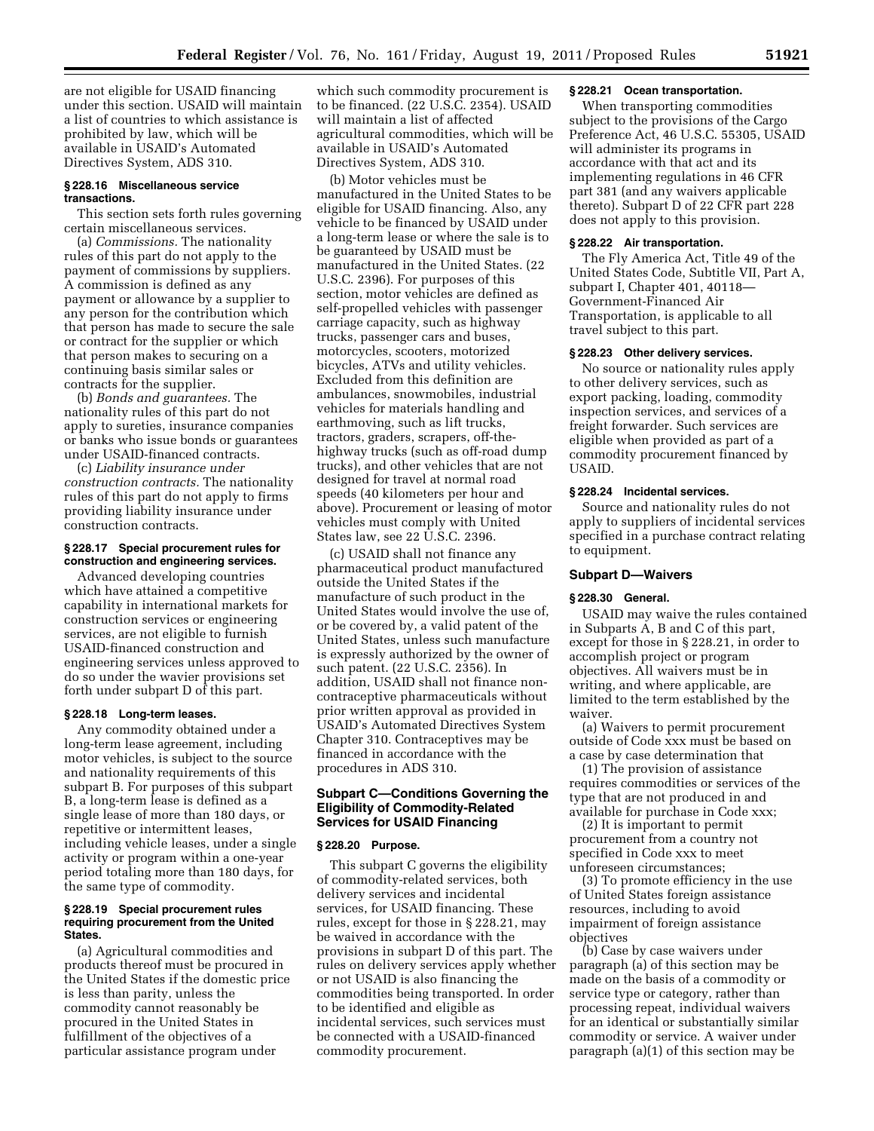are not eligible for USAID financing under this section. USAID will maintain a list of countries to which assistance is prohibited by law, which will be available in USAID's Automated Directives System, ADS 310.

# **§ 228.16 Miscellaneous service transactions.**

This section sets forth rules governing certain miscellaneous services.

(a) *Commissions.* The nationality rules of this part do not apply to the payment of commissions by suppliers. A commission is defined as any payment or allowance by a supplier to any person for the contribution which that person has made to secure the sale or contract for the supplier or which that person makes to securing on a continuing basis similar sales or contracts for the supplier.

(b) *Bonds and guarantees.* The nationality rules of this part do not apply to sureties, insurance companies or banks who issue bonds or guarantees under USAID-financed contracts.

(c) *Liability insurance under construction contracts.* The nationality rules of this part do not apply to firms providing liability insurance under construction contracts.

#### **§ 228.17 Special procurement rules for construction and engineering services.**

Advanced developing countries which have attained a competitive capability in international markets for construction services or engineering services, are not eligible to furnish USAID-financed construction and engineering services unless approved to do so under the wavier provisions set forth under subpart D of this part.

# **§ 228.18 Long-term leases.**

Any commodity obtained under a long-term lease agreement, including motor vehicles, is subject to the source and nationality requirements of this subpart B. For purposes of this subpart B, a long-term lease is defined as a single lease of more than 180 days, or repetitive or intermittent leases, including vehicle leases, under a single activity or program within a one-year period totaling more than 180 days, for the same type of commodity.

#### **§ 228.19 Special procurement rules requiring procurement from the United States.**

(a) Agricultural commodities and products thereof must be procured in the United States if the domestic price is less than parity, unless the commodity cannot reasonably be procured in the United States in fulfillment of the objectives of a particular assistance program under

which such commodity procurement is to be financed. (22 U.S.C. 2354). USAID will maintain a list of affected agricultural commodities, which will be available in USAID's Automated Directives System, ADS 310.

(b) Motor vehicles must be manufactured in the United States to be eligible for USAID financing. Also, any vehicle to be financed by USAID under a long-term lease or where the sale is to be guaranteed by USAID must be manufactured in the United States. (22 U.S.C. 2396). For purposes of this section, motor vehicles are defined as self-propelled vehicles with passenger carriage capacity, such as highway trucks, passenger cars and buses, motorcycles, scooters, motorized bicycles, ATVs and utility vehicles. Excluded from this definition are ambulances, snowmobiles, industrial vehicles for materials handling and earthmoving, such as lift trucks, tractors, graders, scrapers, off-thehighway trucks (such as off-road dump trucks), and other vehicles that are not designed for travel at normal road speeds (40 kilometers per hour and above). Procurement or leasing of motor vehicles must comply with United States law, see 22 U.S.C. 2396.

(c) USAID shall not finance any pharmaceutical product manufactured outside the United States if the manufacture of such product in the United States would involve the use of, or be covered by, a valid patent of the United States, unless such manufacture is expressly authorized by the owner of such patent. (22 U.S.C. 2356). In addition, USAID shall not finance noncontraceptive pharmaceuticals without prior written approval as provided in USAID's Automated Directives System Chapter 310. Contraceptives may be financed in accordance with the procedures in ADS 310.

# **Subpart C—Conditions Governing the Eligibility of Commodity-Related Services for USAID Financing**

#### **§ 228.20 Purpose.**

This subpart C governs the eligibility of commodity-related services, both delivery services and incidental services, for USAID financing. These rules, except for those in § 228.21, may be waived in accordance with the provisions in subpart D of this part. The rules on delivery services apply whether or not USAID is also financing the commodities being transported. In order to be identified and eligible as incidental services, such services must be connected with a USAID-financed commodity procurement.

#### **§ 228.21 Ocean transportation.**

When transporting commodities subject to the provisions of the Cargo Preference Act, 46 U.S.C. 55305, USAID will administer its programs in accordance with that act and its implementing regulations in 46 CFR part 381 (and any waivers applicable thereto). Subpart D of 22 CFR part 228 does not apply to this provision.

#### **§ 228.22 Air transportation.**

The Fly America Act, Title 49 of the United States Code, Subtitle VII, Part A, subpart I, Chapter 401, 40118— Government-Financed Air Transportation, is applicable to all travel subject to this part.

# **§ 228.23 Other delivery services.**

No source or nationality rules apply to other delivery services, such as export packing, loading, commodity inspection services, and services of a freight forwarder. Such services are eligible when provided as part of a commodity procurement financed by USAID.

# **§ 228.24 Incidental services.**

Source and nationality rules do not apply to suppliers of incidental services specified in a purchase contract relating to equipment.

#### **Subpart D—Waivers**

#### **§ 228.30 General.**

USAID may waive the rules contained in Subparts A, B and C of this part, except for those in § 228.21, in order to accomplish project or program objectives. All waivers must be in writing, and where applicable, are limited to the term established by the waiver.

(a) Waivers to permit procurement outside of Code xxx must be based on a case by case determination that

(1) The provision of assistance requires commodities or services of the type that are not produced in and available for purchase in Code xxx;

(2) It is important to permit procurement from a country not specified in Code xxx to meet unforeseen circumstances;

(3) To promote efficiency in the use of United States foreign assistance resources, including to avoid impairment of foreign assistance objectives

(b) Case by case waivers under paragraph (a) of this section may be made on the basis of a commodity or service type or category, rather than processing repeat, individual waivers for an identical or substantially similar commodity or service. A waiver under paragraph (a)(1) of this section may be